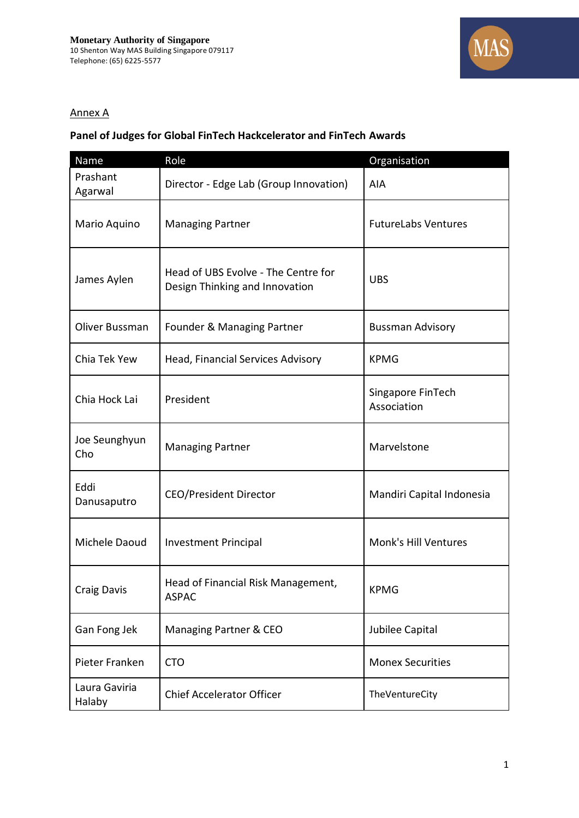

## Annex A

## **Panel of Judges for Global FinTech Hackcelerator and FinTech Awards**

| Name                    | Role                                                                  | Organisation                     |
|-------------------------|-----------------------------------------------------------------------|----------------------------------|
| Prashant<br>Agarwal     | Director - Edge Lab (Group Innovation)                                | AIA                              |
| Mario Aquino            | <b>Managing Partner</b>                                               | <b>FutureLabs Ventures</b>       |
| James Aylen             | Head of UBS Evolve - The Centre for<br>Design Thinking and Innovation | <b>UBS</b>                       |
| Oliver Bussman          | Founder & Managing Partner                                            | <b>Bussman Advisory</b>          |
| Chia Tek Yew            | Head, Financial Services Advisory                                     | <b>KPMG</b>                      |
| Chia Hock Lai           | President                                                             | Singapore FinTech<br>Association |
| Joe Seunghyun<br>Cho    | <b>Managing Partner</b>                                               | Marvelstone                      |
| Eddi<br>Danusaputro     | <b>CEO/President Director</b>                                         | Mandiri Capital Indonesia        |
| Michele Daoud           | <b>Investment Principal</b>                                           | Monk's Hill Ventures             |
| <b>Craig Davis</b>      | Head of Financial Risk Management,<br><b>ASPAC</b>                    | <b>KPMG</b>                      |
| Gan Fong Jek            | Managing Partner & CEO                                                | Jubilee Capital                  |
| Pieter Franken          | <b>CTO</b>                                                            | <b>Monex Securities</b>          |
| Laura Gaviria<br>Halaby | <b>Chief Accelerator Officer</b>                                      | TheVentureCity                   |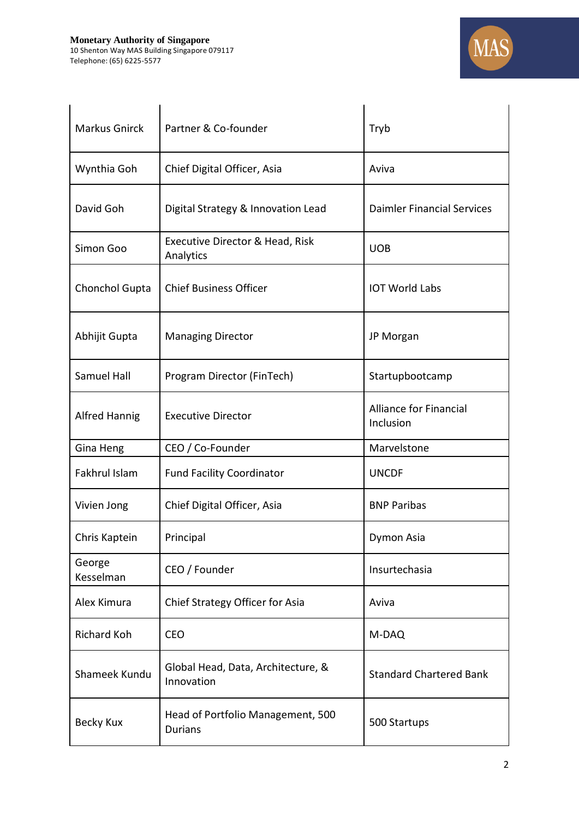

| <b>Markus Gnirck</b> | Partner & Co-founder                                | Tryb                                       |
|----------------------|-----------------------------------------------------|--------------------------------------------|
| Wynthia Goh          | Chief Digital Officer, Asia                         | Aviva                                      |
| David Goh            | Digital Strategy & Innovation Lead                  | <b>Daimler Financial Services</b>          |
| Simon Goo            | Executive Director & Head, Risk<br>Analytics        | <b>UOB</b>                                 |
| Chonchol Gupta       | <b>Chief Business Officer</b>                       | <b>IOT World Labs</b>                      |
| Abhijit Gupta        | <b>Managing Director</b>                            | JP Morgan                                  |
| Samuel Hall          | Program Director (FinTech)                          | Startupbootcamp                            |
| <b>Alfred Hannig</b> | <b>Executive Director</b>                           | <b>Alliance for Financial</b><br>Inclusion |
| Gina Heng            | CEO / Co-Founder                                    | Marvelstone                                |
| Fakhrul Islam        | <b>Fund Facility Coordinator</b>                    | <b>UNCDF</b>                               |
| Vivien Jong          | Chief Digital Officer, Asia                         | <b>BNP Paribas</b>                         |
| Chris Kaptein        | Principal                                           | Dymon Asia                                 |
| George<br>Kesselman  | CEO / Founder                                       | Insurtechasia                              |
| Alex Kimura          | Chief Strategy Officer for Asia                     | Aviva                                      |
| <b>Richard Koh</b>   | <b>CEO</b>                                          | M-DAQ                                      |
| Shameek Kundu        | Global Head, Data, Architecture, &<br>Innovation    | <b>Standard Chartered Bank</b>             |
| <b>Becky Kux</b>     | Head of Portfolio Management, 500<br><b>Durians</b> | 500 Startups                               |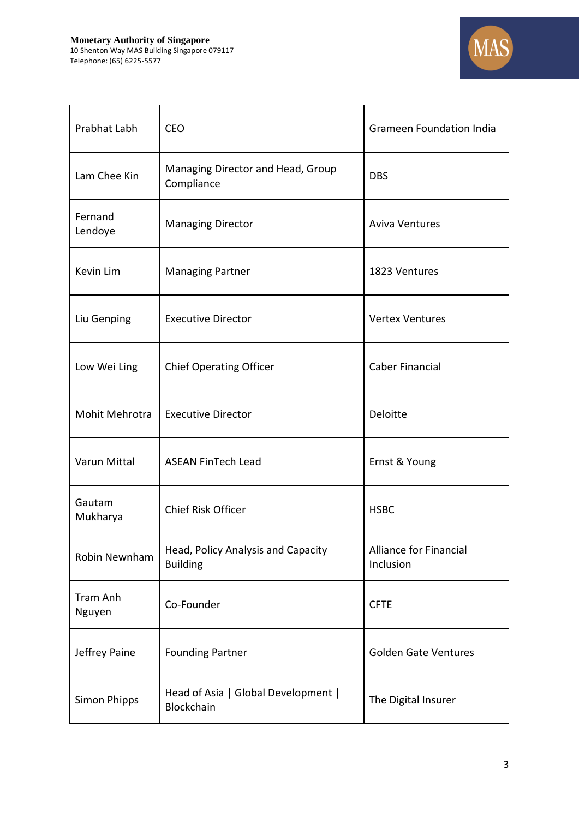

| Prabhat Labh       | <b>CEO</b>                                            | <b>Grameen Foundation India</b>            |
|--------------------|-------------------------------------------------------|--------------------------------------------|
| Lam Chee Kin       | Managing Director and Head, Group<br>Compliance       | <b>DBS</b>                                 |
| Fernand<br>Lendoye | <b>Managing Director</b>                              | <b>Aviva Ventures</b>                      |
| Kevin Lim          | <b>Managing Partner</b>                               | 1823 Ventures                              |
| Liu Genping        | <b>Executive Director</b>                             | <b>Vertex Ventures</b>                     |
| Low Wei Ling       | <b>Chief Operating Officer</b>                        | <b>Caber Financial</b>                     |
| Mohit Mehrotra     | <b>Executive Director</b>                             | Deloitte                                   |
| Varun Mittal       | <b>ASEAN FinTech Lead</b>                             | Ernst & Young                              |
| Gautam<br>Mukharya | Chief Risk Officer                                    | <b>HSBC</b>                                |
| Robin Newnham      | Head, Policy Analysis and Capacity<br><b>Building</b> | <b>Alliance for Financial</b><br>Inclusion |
| Tram Anh<br>Nguyen | Co-Founder                                            | <b>CFTE</b>                                |
| Jeffrey Paine      | <b>Founding Partner</b>                               | <b>Golden Gate Ventures</b>                |
| Simon Phipps       | Head of Asia   Global Development  <br>Blockchain     | The Digital Insurer                        |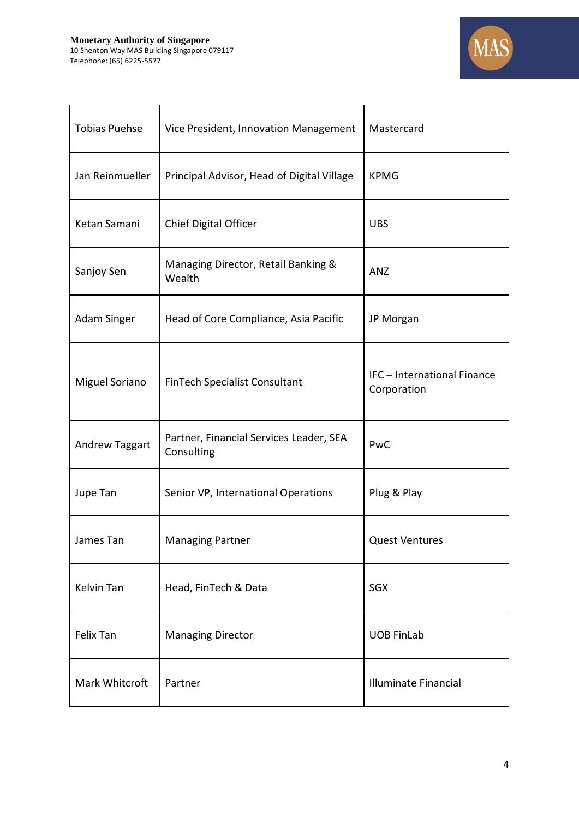

| <b>Tobias Puehse</b> | Vice President, Innovation Management                 | Mastercard                                 |
|----------------------|-------------------------------------------------------|--------------------------------------------|
| Jan Reinmueller      | Principal Advisor, Head of Digital Village            | <b>KPMG</b>                                |
| Ketan Samani         | <b>Chief Digital Officer</b>                          | <b>UBS</b>                                 |
| Sanjoy Sen           | Managing Director, Retail Banking &<br>Wealth         | ANZ                                        |
| Adam Singer          | Head of Core Compliance, Asia Pacific                 | JP Morgan                                  |
| Miguel Soriano       | FinTech Specialist Consultant                         | IFC - International Finance<br>Corporation |
| Andrew Taggart       | Partner, Financial Services Leader, SEA<br>Consulting | PwC                                        |
| Jupe Tan             | Senior VP, International Operations                   | Plug & Play                                |
| James Tan            | <b>Managing Partner</b>                               | <b>Quest Ventures</b>                      |
| Kelvin Tan           | Head, FinTech & Data                                  | <b>SGX</b>                                 |
| Felix Tan            | <b>Managing Director</b>                              | <b>UOB FinLab</b>                          |
| Mark Whitcroft       | Partner                                               | Illuminate Financial                       |